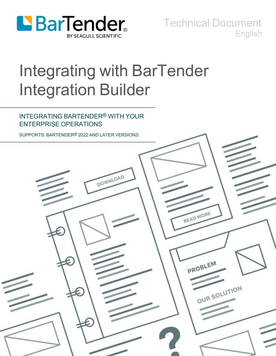

Technical Document English

# Integrating with BarTender Integration Builder

### INTEGRATING BARTENDER® WITH YOUR ENTERPRISE OPERATIONS

SUPPORTS: BARTENDER® 2022 AND LATER VERSIONS

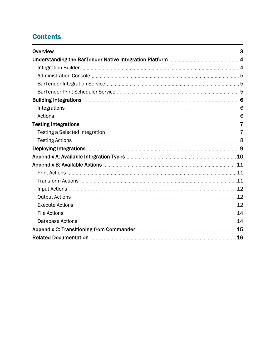# **Contents**

| Understanding the BarTender Native Integration Platform <b>Machineson Action</b> 4                 |  |
|----------------------------------------------------------------------------------------------------|--|
|                                                                                                    |  |
|                                                                                                    |  |
|                                                                                                    |  |
|                                                                                                    |  |
|                                                                                                    |  |
|                                                                                                    |  |
|                                                                                                    |  |
|                                                                                                    |  |
|                                                                                                    |  |
|                                                                                                    |  |
| Deploying Integrations <b>Manual According to the Control of According Control</b> of September 19 |  |
|                                                                                                    |  |
|                                                                                                    |  |
|                                                                                                    |  |
|                                                                                                    |  |
|                                                                                                    |  |
|                                                                                                    |  |
|                                                                                                    |  |
|                                                                                                    |  |
| .14                                                                                                |  |
|                                                                                                    |  |
|                                                                                                    |  |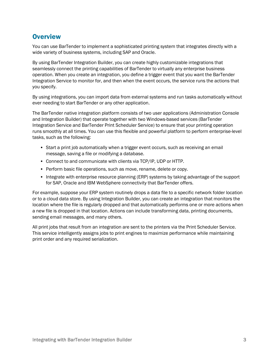### <span id="page-2-0"></span>**Overview**

You can use BarTender to implement a sophisticated printing system that integrates directly with a wide variety of business systems, including SAP and Oracle.

By using BarTender Integration Builder, you can create highly customizable integrations that seamlessly connect the printing capabilities of BarTender to virtually any enterprise business operation. When you create an integration, you define a trigger event that you want the BarTender Integration Service to monitor for, and then when the event occurs, the service runs the actions that you specify.

By using integrations, you can import data from external systems and run tasks automatically without ever needing to start BarTender or any other application.

The BarTender native integration platform consists of two user applications (Administration Console and Integration Builder) that operate together with two Windows-based services (BarTender Integration Service and BarTender Print Scheduler Service) to ensure that your printing operation runs smoothly at all times. You can use this flexible and powerful platform to perform enterprise-level tasks, such as the following:

- Start a print job automatically when a trigger event occurs, such as receiving an email message, saving a file or modifying a database.
- Connect to and communicate with clients via TCP/IP, UDP or HTTP.
- Perform basic file operations, such as move, rename, delete or copy.
- Integrate with enterprise resource planning (ERP) systems by taking advantage of the support for SAP, Oracle and IBM WebSphere connectivity that BarTender offers.

For example, suppose your ERP system routinely drops a data file to a specific network folder location or to a cloud data store. By using Integration Builder, you can create an integration that monitors the location where the file is regularly dropped and that automatically performs one or more actions when a new file is dropped in that location. Actions can include transforming data, printing documents, sending email messages, and many others.

All print jobs that result from an integration are sent to the printers via the Print Scheduler Service. This service intelligently assigns jobs to print engines to maximize performance while maintaining print order and any required serialization.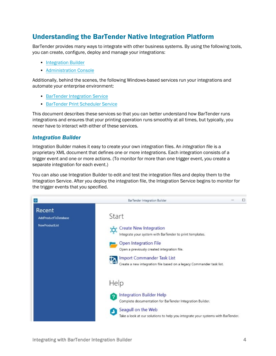### <span id="page-3-0"></span>Understanding the BarTender Native Integration Platform

BarTender provides many ways to integrate with other business systems. By using the following tools, you can create, configure, deploy and manage your integrations:

- [Integration](#page-3-1) Builder
- [Administration](#page-4-0) Console

Additionally, behind the scenes, the following Windows-based services run your integrations and automate your enterprise environment:

- **BarTender [Integration](#page-4-1) Service**
- **[BarTender](#page-4-2) Print Scheduler Service**

This document describes these services so that you can better understand how BarTender runs integrations and ensures that your printing operation runs smoothly at all times, but typically, you never have to interact with either of these services.

#### <span id="page-3-1"></span>*Integration Builder*

Integration Builder makes it easy to create your own integration files. An *integration file* is a proprietary XML document that defines one or more integrations. Each integration consists of a trigger event and one or more actions. (To monitor for more than one trigger event, you create a separate integration for each event.)

You can also use Integration Builder to edit and test the integration files and deploy them to the Integration Service. After you deploy the integration file, the Integration Service begins to monitor for the trigger events that you specified.

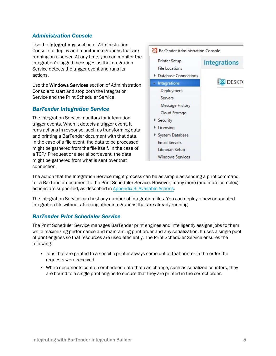### <span id="page-4-0"></span>*Administration Console*

Use the Integrations section of Administration Console to deploy and monitor integrations that are running on a server. At any time, you can monitor the integration's logged messages as the Integration Service detects the trigger event and runs its actions.

Use the Windows Services section of Administration Console to start and stop both the Integration Service and the Print Scheduler Service.

### <span id="page-4-1"></span>*BarTender Integration Service*

The Integration Service monitors for integration trigger events. When it detects a trigger event, it runs actions in response, such as transforming data and printing a BarTender document with that data. In the case of a file event, the data to be processed might be gathered from the file itself. In the case of a TCP/IP request or a serial port event, the data might be gathered from what is sent over that connection.



The action that the Integration Service might process can be as simple as sending a print command for a BarTender document to the Print Scheduler Service. However, many more (and more complex) actions are supported, as described in Appendix [B: Available](#page-10-0) Actions.

The Integration Service can host any number of integration files. You can deploy a new or updated integration file without affecting other integrations that are already running.

#### <span id="page-4-2"></span>*BarTender Print Scheduler Service*

The Print Scheduler Service manages BarTender print engines and intelligently assigns jobs to them while maximizing performance and maintaining print order and any serialization. It uses a single pool of print engines so that resources are used efficiently. The Print Scheduler Service ensures the following:

- Jobs that are printed to a specific printer always come out of that printer in the order the requests were received.
- When documents contain embedded data that can change, such as serialized counters, they are bound to a single print engine to ensure that they are printed in the correct order.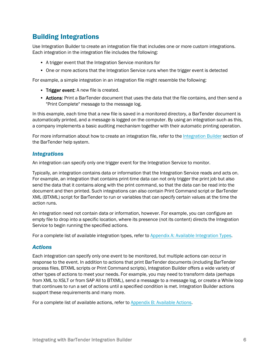# <span id="page-5-0"></span>Building Integrations

Use Integration Builder to create an integration file that includes one or more custom integrations. Each integration in the integration file includes the following:

- A trigger event that the Integration Service monitors for
- One or more actions that the Integration Service runs when the trigger event is detected

For example, a simple integration in an integration file might resemble the following:

- Trigger event: A new file is created.
- Actions: Print a BarTender document that uses the data that the file contains, and then send a "Print Complete" message to the message log.

In this example, each time that a new file is saved in a monitored directory, a BarTender document is automatically printed, and a message is logged on the computer. By using an integration such as this, a company implements a basic auditing mechanism together with their automatic printing operation.

For more information about how to create an integration file, refer to the [Integration](http://help.seagullscientific.com/#../Subsystems/IntegrationBuilder/Content/IntegrationBuilder_Main.html) Builder section of the BarTender help system.

#### <span id="page-5-1"></span>*Integrations*

An integration can specify only one trigger event for the Integration Service to monitor.

Typically, an integration contains data or information that the Integration Service reads and acts on. For example, an integration that contains print-time data can not only trigger the print job but also send the data that it contains along with the print command, so that the data can be read into the document and then printed. Such integrations can also contain Print Command script or BarTender XML (BTXML) script for BarTender to run or variables that can specify certain values at the time the action runs.

An integration need not contain data or information, however. For example, you can configure an empty file to drop into a specific location, where its presence (not its content) directs the Integration Service to begin running the specified actions.

<span id="page-5-2"></span>For a complete list of available integration types, refer to Appendix A: Available [Integration](#page-9-0) Types.

#### *Actions*

Each integration can specify only one event to be monitored, but multiple actions can occur in response to the event. In addition to actions that print BarTender documents (including BarTender process files, BTXML scripts or Print Command scripts), Integration Builder offers a wide variety of other types of actions to meet your needs. For example, you may need to transform data (perhaps from XML to XSLT or from SAP AII to BTXML), send a message to a message log, or create a While loop that continues to run a set of actions until a specified condition is met. Integration Builder actions support these requirements and many more.

For a complete list of available actions, refer to Appendix [B: Available](#page-10-0) Actions.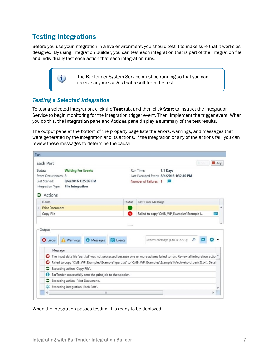# <span id="page-6-0"></span>Testing Integrations

i.

Before you use your integration in a live environment, you should test it to make sure that it works as designed. By using Integration Builder, you can test each integration that is part of the integration file and individually test each action that each integration runs.

> The BarTender System Service must be running so that you can receive any messages that result from the test.

### <span id="page-6-1"></span>*Testing a Selected Integration*

To test a selected integration, click the Test tab, and then click Start to instruct the Integration Service to begin monitoring for the integration trigger event. Then, implement the trigger event. When you do this, the Integration pane and Actions pane display a summary of the test results.

The output pane at the bottom of the property page lists the errors, warnings, and messages that were generated by the integration and its actions. If the integration or any of the actions fail, you can review these messages to determine the cause.

|                                                              | Each Part                                                           |        | <b>J</b> Start                                                                                                           | Stop |
|--------------------------------------------------------------|---------------------------------------------------------------------|--------|--------------------------------------------------------------------------------------------------------------------------|------|
| <b>Waiting For Events</b><br>Status:<br>Event Occurrences: 3 |                                                                     |        | Run Time:<br>1.1 Days<br>Last Executed Event: 8/4/2016 1:32:40 PM                                                        |      |
| Last Started:                                                | 8/4/2016 1:25:09 PM<br>Integration Type:<br><b>File Integration</b> |        | Number of Failures: 1                                                                                                    |      |
| Name                                                         | Actions                                                             | Status | Last Error Message                                                                                                       |      |
|                                                              | Print Document                                                      |        |                                                                                                                          |      |
| Copy File                                                    |                                                                     | O      | Failed to copy 'C:\IB_WP_Examples\Example1                                                                               |      |
|                                                              |                                                                     |        |                                                                                                                          |      |
| <b>O</b> Errors                                              | <b><i>O</i></b> Messages<br>Events<br>Warnings<br>Message           |        | Search Message (Ctrl+F or F3)                                                                                            |      |
| Θ                                                            |                                                                     |        | The input data file 'part.txt' was not processed because one or more actions failed to run. Review all integration actio |      |
| ø                                                            |                                                                     |        | Failed to copy 'C:\IB_WP_Examples\Example1\part.txt' to 'C:\IB_WP_Examples\Example1\Archive\old_part(5).txt'. Detai      |      |
| ∍                                                            | Executing action 'Copy File'.                                       |        |                                                                                                                          |      |
| Θ                                                            | BarTender successfully sent the print job to the spooler.           |        |                                                                                                                          |      |
| э                                                            | Executing action 'Print Document'.                                  |        |                                                                                                                          |      |
| ×                                                            | Executing integration 'Each Part'.                                  |        |                                                                                                                          |      |

When the integration passes testing, it is ready to be deployed.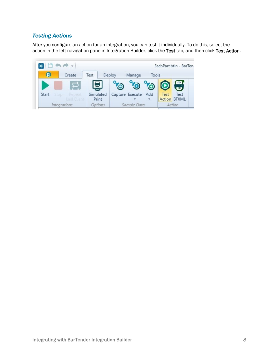### <span id="page-7-0"></span>*Testing Actions*

After you configure an action for an integration, you can test it individually. To do this, select the action in the left navigation pane in Integration Builder, click the Test tab, and then click Test Action.

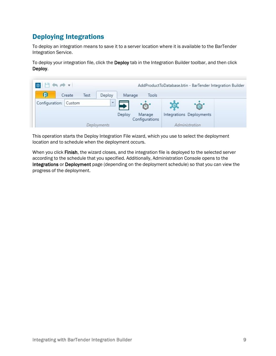# <span id="page-8-0"></span>Deploying Integrations

To deploy an integration means to save it to a server location where it is available to the BarTender Integration Service.

To deploy your integration file, click the Deploy tab in the Integration Builder toolbar, and then click Deploy.



This operation starts the Deploy Integration File wizard, which you use to select the deployment location and to schedule when the deployment occurs.

When you click Finish, the wizard closes, and the integration file is deployed to the selected server according to the schedule that you specified. Additionally, Administration Console opens to the Integrations or Deployment page (depending on the deployment schedule) so that you can view the progress of the deployment.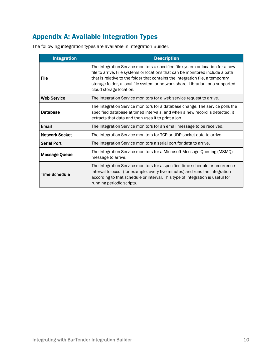# <span id="page-9-0"></span>Appendix A: Available Integration Types

The following integration types are available in Integration Builder.

| <b>Integration</b>    | <b>Description</b>                                                                                                                                                                                                                                                                                                                                               |
|-----------------------|------------------------------------------------------------------------------------------------------------------------------------------------------------------------------------------------------------------------------------------------------------------------------------------------------------------------------------------------------------------|
| File                  | The Integration Service monitors a specified file system or location for a new<br>file to arrive. File systems or locations that can be monitored include a path<br>that is relative to the folder that contains the integration file, a temporary<br>storage folder, a local file system or network share, Librarian, or a supported<br>cloud storage location. |
| <b>Web Service</b>    | The Integration Service monitors for a web service request to arrive.                                                                                                                                                                                                                                                                                            |
| Database              | The Integration Service monitors for a database change. The service polls the<br>specified database at timed intervals, and when a new record is detected, it<br>extracts that data and then uses it to print a job.                                                                                                                                             |
| Email                 | The Integration Service monitors for an email message to be received.                                                                                                                                                                                                                                                                                            |
| <b>Network Socket</b> | The Integration Service monitors for TCP or UDP socket data to arrive.                                                                                                                                                                                                                                                                                           |
| <b>Serial Port</b>    | The Integration Service monitors a serial port for data to arrive.                                                                                                                                                                                                                                                                                               |
| Message Queue         | The Integration Service monitors for a Microsoft Message Queuing (MSMQ)<br>message to arrive.                                                                                                                                                                                                                                                                    |
| <b>Time Schedule</b>  | The Integration Service monitors for a specified time schedule or recurrence<br>interval to occur (for example, every five minutes) and runs the integration<br>according to that schedule or interval. This type of integration is useful for<br>running periodic scripts.                                                                                      |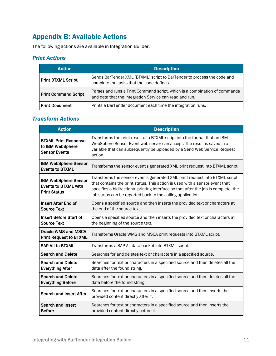# <span id="page-10-0"></span>Appendix B: Available Actions

<span id="page-10-1"></span>The following actions are available in Integration Builder.

### *Print Actions*

| <b>Action</b>               | <b>Description</b>                                                                                                                    |
|-----------------------------|---------------------------------------------------------------------------------------------------------------------------------------|
| <b>Print BTXML Script</b>   | Sends BarTender XML (BTXML) script to BarTender to process the code and<br>complete the tasks that the code defines.                  |
| <b>Print Command Script</b> | Parses and runs a Print Command script, which is a combination of commands<br>and data that the Integration Service can read and run. |
| <b>Print Document</b>       | Prints a BarTender document each time the integration runs.                                                                           |

### <span id="page-10-2"></span>*Transform Actions*

| <b>Action</b>                                                                     | <b>Description</b>                                                                                                                                                                                                                                                                                                |
|-----------------------------------------------------------------------------------|-------------------------------------------------------------------------------------------------------------------------------------------------------------------------------------------------------------------------------------------------------------------------------------------------------------------|
| <b>BTXML Print Response</b><br>to IBM WebSphere<br><b>Sensor Events</b>           | Transforms the print result of a BTXML script into the format that an IBM<br>WebSphere Sensor Event web server can accept. The result is saved in a<br>variable that can subsequently be uploaded by a Send Web Service Request<br>action.                                                                        |
| <b>IBM WebSphere Sensor</b><br><b>Events to BTXML</b>                             | Transforms the sensor event's generated XML print request into BTXML script.                                                                                                                                                                                                                                      |
| <b>IBM WebSphere Sensor</b><br><b>Events to BTXML with</b><br><b>Print Status</b> | Transforms the sensor event's generated XML print request into BTXML script<br>that contains the print status. This action is used with a sensor event that<br>specifies a bidirectional printing interface so that after the job is complete, the<br>job status can be reported back to the calling application. |
| Insert After End of<br><b>Source Text</b>                                         | Opens a specified source and then inserts the provided text or characters at<br>the end of the source text.                                                                                                                                                                                                       |
| <b>Insert Before Start of</b><br><b>Source Text</b>                               | Opens a specified source and then inserts the provided text or characters at<br>the beginning of the source text.                                                                                                                                                                                                 |
| <b>Oracle WMS and MSCA</b><br><b>Print Request to BTXML</b>                       | Transforms Oracle WMS and MSCA print requests into BTXML script.                                                                                                                                                                                                                                                  |
| <b>SAP AII to BTXML</b>                                                           | Transforms a SAP All data packet into BTXML script.                                                                                                                                                                                                                                                               |
| <b>Search and Delete</b>                                                          | Searches for and deletes text or characters in a specified source.                                                                                                                                                                                                                                                |
| <b>Search and Delete</b><br><b>Everything After</b>                               | Searches for text or characters in a specified source and then deletes all the<br>data after the found string.                                                                                                                                                                                                    |
| <b>Search and Delete</b><br><b>Everything Before</b>                              | Searches for text or characters in a specified source and then deletes all the<br>data before the found string.                                                                                                                                                                                                   |
| <b>Search and Insert After</b>                                                    | Searches for text or characters in a specified source and then inserts the<br>provided content directly after it.                                                                                                                                                                                                 |
| Search and Insert<br><b>Before</b>                                                | Searches for text or characters in a specified source and then inserts the<br>provided content directly before it.                                                                                                                                                                                                |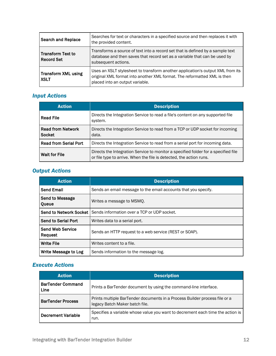| <b>Search and Replace</b>          | Searches for text or characters in a specified source and then replaces it with<br>the provided content.                                                                                      |
|------------------------------------|-----------------------------------------------------------------------------------------------------------------------------------------------------------------------------------------------|
| Transform Text to<br>Record Set    | Transforms a source of text into a record set that is defined by a sample text<br>database and then saves that record set as a variable that can be used by<br>subsequent actions.            |
| Transform XML using<br><b>XSLT</b> | Uses an XSLT stylesheet to transform another application's output XML from its<br>original XML format into another XML format. The reformatted XML is then<br>placed into an output variable. |

### <span id="page-11-0"></span>*Input Actions*

| <b>Action</b>                      | <b>Description</b>                                                                                                                                        |
|------------------------------------|-----------------------------------------------------------------------------------------------------------------------------------------------------------|
| <b>Read File</b>                   | Directs the Integration Service to read a file's content on any supported file<br>system.                                                                 |
| <b>Read from Network</b><br>Socket | Directs the Integration Service to read from a TCP or UDP socket for incoming<br>data.                                                                    |
| <b>Read from Serial Port</b>       | Directs the Integration Service to read from a serial port for incoming data.                                                                             |
| <b>Wait for File</b>               | Directs the Integration Service to monitor a specified folder for a specified file<br>or file type to arrive. When the file is detected, the action runs. |

### <span id="page-11-1"></span>*Output Actions*

| <b>Action</b>                   | <b>Description</b>                                             |
|---------------------------------|----------------------------------------------------------------|
| <b>Send Email</b>               | Sends an email message to the email accounts that you specify. |
| <b>Send to Message</b><br>Queue | Writes a message to MSMO.                                      |
| <b>Send to Network Socket</b>   | Sends information over a TCP or UDP socket.                    |
| Send to Serial Port             | Writes data to a serial port.                                  |
| Send Web Service<br>Request     | Sends an HTTP request to a web service (REST or SOAP).         |
| <b>Write File</b>               | Writes content to a file.                                      |
| Write Message to Log            | Sends information to the message log.                          |

### <span id="page-11-2"></span>*Execute Actions*

| <b>Action</b>                    | <b>Description</b>                                                                                           |
|----------------------------------|--------------------------------------------------------------------------------------------------------------|
| <b>BarTender Command</b><br>Line | Prints a BarTender document by using the command-line interface.                                             |
| <b>BarTender Process</b>         | Prints multiple BarTender documents in a Process Builder process file or a<br>legacy Batch Maker batch file. |
| <b>Decrement Variable</b>        | Specifies a variable whose value you want to decrement each time the action is<br>run.                       |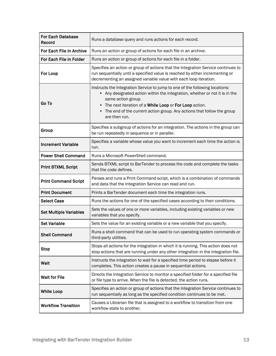| <b>For Each Database</b><br>Record | Runs a database query and runs actions for each record.                                                                                                                                                                                                                                                                                |
|------------------------------------|----------------------------------------------------------------------------------------------------------------------------------------------------------------------------------------------------------------------------------------------------------------------------------------------------------------------------------------|
| For Each File in Archive           | Runs an action or group of actions for each file in an archive.                                                                                                                                                                                                                                                                        |
| For Each File in Folder            | Runs an action or group of actions for each file in a folder.                                                                                                                                                                                                                                                                          |
| For Loop                           | Specifies an action or group of actions that the Integration Service continues to<br>run sequentially until a specified value is reached by either incrementing or<br>decrementing an assigned variable value with each loop iteration.                                                                                                |
| Go To                              | Instructs the Integration Service to jump to one of the following locations:<br>• Any designated action within the integration, whether or not it is in the<br>same action group.<br>The next iteration of a While Loop or For Loop action.<br>The end of the current action group. Any actions that follow the group<br>are then run. |
| Group                              | Specifies a subgroup of actions for an integration. The actions in the group can<br>be run repeatedly in sequence or in parallel.                                                                                                                                                                                                      |
| <b>Increment Variable</b>          | Specifies a variable whose value you want to increment each time the action is<br>run.                                                                                                                                                                                                                                                 |
| <b>Power Shell Command</b>         | Runs a Microsoft PowerShell command.                                                                                                                                                                                                                                                                                                   |
| <b>Print BTXML Script</b>          | Sends BTXML script to BarTender to process the code and complete the tasks<br>that the code defines.                                                                                                                                                                                                                                   |
| <b>Print Command Script</b>        | Parses and runs a Print Command script, which is a combination of commands<br>and data that the Integration Service can read and run.                                                                                                                                                                                                  |
| <b>Print Document</b>              | Prints a BarTender document each time the integration runs.                                                                                                                                                                                                                                                                            |
| <b>Select Case</b>                 | Runs the actions for one of the specified cases according to their conditions.                                                                                                                                                                                                                                                         |
| <b>Set Multiple Variables</b>      | Sets the values of one or more variables, including existing variables or new<br>variables that you specify.                                                                                                                                                                                                                           |
| <b>Set Variable</b>                | Sets the value for an existing variable or a new variable that you specify.                                                                                                                                                                                                                                                            |
| <b>Shell Command</b>               | Runs a shell command that can be used to run operating system commands or<br>third-party utilities.                                                                                                                                                                                                                                    |
| <b>Stop</b>                        | Stops all actions for the integration in which it is running. This action does not<br>stop actions that are running under any other integration in the integration file.                                                                                                                                                               |
| Wait                               | Instructs the integration to wait for a specified time period to elapse before it<br>completes. This action creates a pause in sequential actions.                                                                                                                                                                                     |
| <b>Wait for File</b>               | Directs the Integration Service to monitor a specified folder for a specified file<br>or file type to arrive. When the file is detected, the action runs.                                                                                                                                                                              |
| <b>While Loop</b>                  | Specifies an action or group of actions that the Integration Service continues to<br>run sequentially as long as the specified condition continues to be met.                                                                                                                                                                          |
| <b>Workflow Transition</b>         | Causes a Librarian file that is assigned to a workflow to transition from one<br>workflow state to another.                                                                                                                                                                                                                            |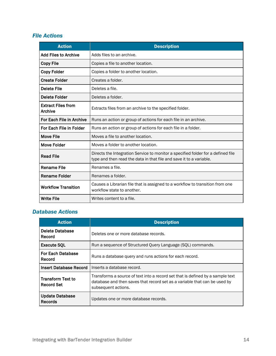### <span id="page-13-0"></span>*File Actions*

| <b>Action</b>                               | <b>Description</b>                                                                                                                                      |
|---------------------------------------------|---------------------------------------------------------------------------------------------------------------------------------------------------------|
| <b>Add Files to Archive</b>                 | Adds files to an archive.                                                                                                                               |
| <b>Copy File</b>                            | Copies a file to another location.                                                                                                                      |
| <b>Copy Folder</b>                          | Copies a folder to another location.                                                                                                                    |
| <b>Create Folder</b>                        | Creates a folder.                                                                                                                                       |
| <b>Delete File</b>                          | Deletes a file.                                                                                                                                         |
| Delete Folder                               | Deletes a folder.                                                                                                                                       |
| <b>Extract Files from</b><br><b>Archive</b> | Extracts files from an archive to the specified folder.                                                                                                 |
| For Each File in Archive                    | Runs an action or group of actions for each file in an archive.                                                                                         |
| For Each File in Folder                     | Runs an action or group of actions for each file in a folder.                                                                                           |
| <b>Move File</b>                            | Moves a file to another location.                                                                                                                       |
| Move Folder                                 | Moves a folder to another location.                                                                                                                     |
| <b>Read File</b>                            | Directs the Integration Service to monitor a specified folder for a defined file<br>type and then read the data in that file and save it to a variable. |
| <b>Rename File</b>                          | Renames a file.                                                                                                                                         |
| <b>Rename Folder</b>                        | Renames a folder.                                                                                                                                       |
| <b>Workflow Transition</b>                  | Causes a Librarian file that is assigned to a workflow to transition from one<br>workflow state to another.                                             |
| <b>Write File</b>                           | Writes content to a file.                                                                                                                               |

### <span id="page-13-1"></span>*Database Actions*

| <b>Action</b>                                 | <b>Description</b>                                                                                                                                                                 |
|-----------------------------------------------|------------------------------------------------------------------------------------------------------------------------------------------------------------------------------------|
| Delete Database<br>Record                     | Deletes one or more database records.                                                                                                                                              |
| <b>Execute SOL</b>                            | Run a sequence of Structured Query Language (SQL) commands.                                                                                                                        |
| <b>For Each Database</b><br>Record            | Runs a database query and runs actions for each record.                                                                                                                            |
| <b>Insert Database Record</b>                 | Inserts a database record.                                                                                                                                                         |
| <b>Transform Text to</b><br><b>Record Set</b> | Transforms a source of text into a record set that is defined by a sample text<br>database and then saves that record set as a variable that can be used by<br>subsequent actions. |
| <b>Update Database</b><br><b>Records</b>      | Updates one or more database records.                                                                                                                                              |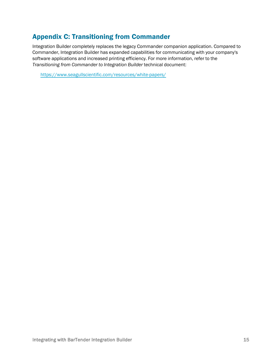# <span id="page-14-0"></span>Appendix C: Transitioning from Commander

Integration Builder completely replaces the legacy Commander companion application. Compared to Commander, Integration Builder has expanded capabilities for communicating with your company's software applications and increased printing efficiency. For more information, refer to the *Transitioning from Commander to Integration Builder* technical document:

<https://www.seagullscientific.com/resources/white-papers/>